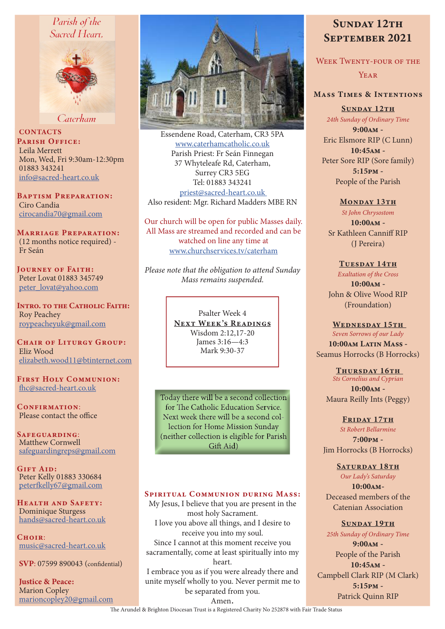# Parish of the Sacred Heart.



Caterham

**CONTACTS** PARISH OFFICE: Leila Merrett Mon, Wed, Fri 9:30am-12:30pm 01883 343241 info@sacred-heart.co.uk

**BAPTISM PREPARATION:** Ciro Candia cirocandia70@gmail.com

**MARRIAGE PREPARATION:** (12 months notice required) -Fr Seán

**IOURNEY OF FAITH:** Peter Lovat 01883 345749 peter lovat@vahoo.com

**INTRO. TO THE CATHOLIC FAITH: Roy Peachey** roypeacheyuk@gmail.com

CHAIR OF LITURGY GROUP: Fliz Wood elizabeth.wood11@btinternet.com

**FIRST HOLY COMMUNION:** fhc@sacred-heart.co.uk

CONFIRMATION: Please contact the office

SAFEGUARDING: Matthew Cornwell safeguardingreps@gmail.com

**GIFT AID:** Peter Kelly 01883 330684 peterfkelly67@gmail.com

**HEALTH AND SAFETY:** Dominique Sturgess hands@sacred-heart.co.uk

 $CHOIR$ music@sacred-heart.co.uk

SVP: 07599 890043 (confidential)

**Justice & Peace: Marion Copley** marioncopley20@gmail.com



Essendene Road, Caterham, CR3 5PA www.caterhamcatholic.co.uk Parish Priest: Fr Seán Finnegan 37 Whyteleafe Rd, Caterham, Surrey CR3 5EG Tel: 01883 343241 priest@sacred-heart.co.uk Also resident: Mgr. Richard Madders MBE RN

Our church will be open for public Masses daily. All Mass are streamed and recorded and can be watched on line any time at www.churchservices.tv/caterham

Please note that the obligation to attend Sunday Mass remains suspended.

> Psalter Week 4 **NEXT WEEK'S READINGS** Wisdom 2:12,17-20 James 3:16-4:3 Mark 9.30-37

Today there will be a second collection for The Catholic Education Service. Next week there will be a second collection for Home Mission Sunday (neither collection is eligible for Parish Gift Aid)

# **SPIRITUAL COMMUNION DURING MASS:**

My Jesus, I believe that you are present in the most holy Sacrament. I love you above all things, and I desire to receive you into my soul. Since I cannot at this moment receive you sacramentally, come at least spiritually into my heart. I embrace you as if you were already there and

unite myself wholly to you. Never permit me to be separated from you.

# **SUNDAY 12TH SEPTEMBER 2021**

**WEEK TWENTY-FOUR OF THE** 

YEAR

# **MASS TIMES & INTENTIONS**

**SUNDAY 12TH** 24th Sunday of Ordinary Time

 $9:00AM -$ Eric Elsmore RIP (C Lunn)  $10:45AM -$ Peter Sore RIP (Sore family)  $5:15PM -$ People of the Parish

#### MONDAY 13TH

St John Chrysostom  $10:00AM -$ Sr Kathleen Canniff RIP (J Pereira)

TUESDAY 14TH **Exaltation of the Cross**  $10.00AM -$ John & Olive Wood RIP (Froundation)

#### WEDNESDAY 15TH

Seven Sorrows of our Lady

10:00AM LATIN MASS -Seamus Horrocks (B Horrocks)

THURSDAY 16TH **Sts Cornelius and Cyprian**  $10:00AM -$ Maura Reilly Ints (Peggy)

#### FRIDAY 17TH

St Robert Bellarmine  $7:00 \text{PM} -$ Jim Horrocks (B Horrocks)

#### **SATURDAY 18TH**

Our Ladv's Saturday  $10:00AM -$ Deceased members of the **Catenian Association** 

#### **SUNDAY 19TH**

25th Sunday of Ordinary Time  $9:00AM -$ People of the Parish 10:45АМ -Campbell Clark RIP (M Clark)  $5:15PM -$ Patrick Quinn RIP

Amen. The Arundel & Brighton Diocesan Trust is a Registered Charity No 252878 with Fair Trade Status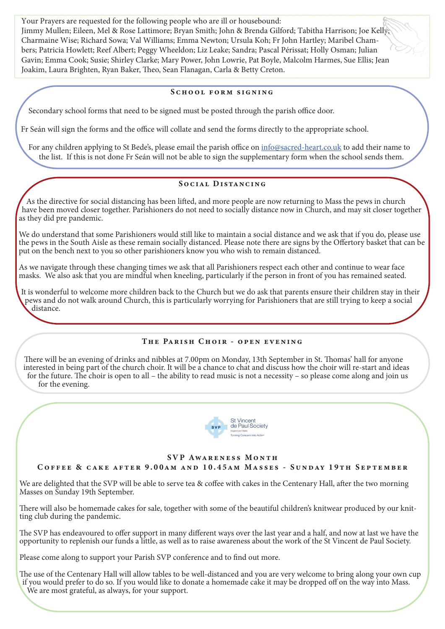Your Prayers are requested for the following people who are ill or housebound: Jimmy Mullen; Eileen, Mel & Rose Lattimore; Bryan Smith; John & Brenda Gilford; Tabitha Harrison; Joe Kelly; Charmaine Wise; Richard Sowa; Val Williams; Emma Newton; Ursula Koh; Fr John Hartley; Maribel Chambers; Patricia Howlett; Reef Albert; Peggy Wheeldon; Liz Leake; Sandra; Pascal Périssat; Holly Osman; Julian Gavin; Emma Cook; Susie; Shirley Clarke; Mary Power, John Lowrie, Pat Boyle, Malcolm Harmes, Sue Ellis; Jean Joakim, Laura Brighten, Ryan Baker, Theo, Sean Flanagan, Carla & Betty Creton.

#### SCHOOL FORM SIGNING

Secondary school forms that need to be signed must be posted through the parish office door.

Fr Seán will sign the forms and the office will collate and send the forms directly to the appropriate school.

For any children applying to St Bede's, please email the parish office on info@sacred-heart.co.uk to add their name to the list. If this is not done Fr Seán will not be able to sign the supplementary form when the school sends them.

# SOCIAL DISTANCING

As the directive for social distancing has been lifed, and more people are now returning to Mass the pews in church have been moved closer together. Parishioners do not need to socially distance now in Church, and may sit closer together as they did pre pandemic.

We do understand that some Parishioners would still like to maintain a social distance and we ask that if you do, please use the pews in the South Aisle as these remain socially distanced. Please note there are signs by the Ofertory basket that can be put on the bench next to you so other parishioners know you who wish to remain distanced.

As we navigate through these changing times we ask that all Parishioners respect each other and continue to wear face masks. We also ask that you are mindful when kneeling, particularly if the person in front of you has remained seated.

It is wonderful to welcome more children back to the Church but we do ask that parents ensure their children stay in their pews and do not walk around Church, this is particularly worrying for Parishioners that are still trying to keep a social distance.

# THE PARISH CHOIR - OPEN EVENING

There will be an evening of drinks and nibbles at 7.00pm on Monday, 13th September in St. Thomas' hall for anyone interested in being part of the church choir. It will be a chance to chat and discuss how the choir will re-start and ideas for the future. The choir is open to all – the ability to read music is not a necessity – so please come along and join us for the evening.



# SVP AWARENESS MONTH

COFFEE & CAKE AFTER 9.00AM AND 10.45AM MASSES - SUNDAY 19TH SEPTEMBER

We are delighted that the SVP will be able to serve tea & coffee with cakes in the Centenary Hall, after the two morning Masses on Sunday 19th September.

There will also be homemade cakes for sale, together with some of the beautiful children's knitwear produced by our knitting club during the pandemic.

The SVP has endeavoured to offer support in many different ways over the last year and a half, and now at last we have the opportunity to replenish our funds a little, as well as to raise awareness about the work of the St Vincent de Paul Society.

Please come along to support your Parish SVP conference and to fnd out more.

The use of the Centenary Hall will allow tables to be well-distanced and you are very welcome to bring along your own cup if you would prefer to do so. If you would like to donate a homemade cake it may be dropped of on the way into Mass. We are most grateful, as always, for your support.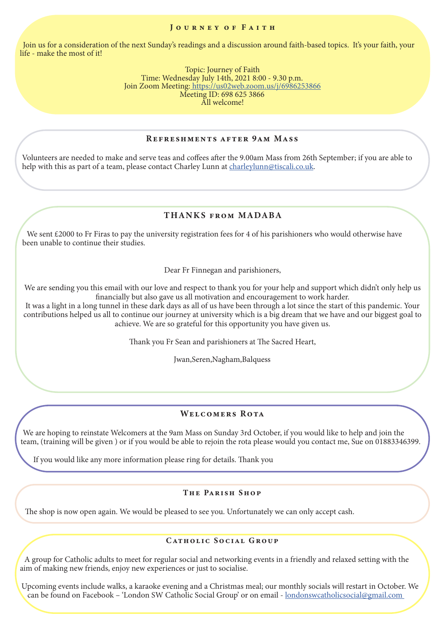#### JOURNEY OF FAITH

Join us for a consideration of the next Sunday's readings and a discussion around faith-based topics. It's your faith, your life - make the most of it!

> Topic: Journey of Faith Time: Wednesday July 14th, 2021 8:00 - 9.30 p.m. Join Zoom Meeting: https://us02web.zoom.us/j/6986253866 Meeting ID: 698 625 3866 All welcome!

# REFRESHMENTS AFTER 9AM MASS

Volunteers are needed to make and serve teas and cofees afer the 9.00am Mass from 26th September; if you are able to help with this as part of a team, please contact Charley Lunn at charleylunn@tiscali.co.uk.

# THANKS FROM MADABA

We sent £2000 to Fr Firas to pay the university registration fees for 4 of his parishioners who would otherwise have been unable to continue their studies.

Dear Fr Finnegan and parishioners,

We are sending you this email with our love and respect to thank you for your help and support which didn't only help us fnancially but also gave us all motivation and encouragement to work harder.

It was a light in a long tunnel in these dark days as all of us have been through a lot since the start of this pandemic. Your contributions helped us all to continue our journey at university which is a big dream that we have and our biggest goal to achieve. We are so grateful for this opportunity you have given us.

Thank you Fr Sean and parishioners at The Sacred Heart,

Jwan,Seren,Nagham,Balquess

# WELCOMERS ROTA

We are hoping to reinstate Welcomers at the 9am Mass on Sunday 3rd October, if you would like to help and join the team, (training will be given ) or if you would be able to rejoin the rota please would you contact me, Sue on 01883346399.

If you would like any more information please ring for details. Thank you

# THE PARISH SHOP

The shop is now open again. We would be pleased to see you. Unfortunately we can only accept cash.

#### CATHOLIC SOCIAL GROUP

A group for Catholic adults to meet for regular social and networking events in a friendly and relaxed setting with the aim of making new friends, enjoy new experiences or just to socialise.

Upcoming events include walks, a karaoke evening and a Christmas meal; our monthly socials will restart in October. We can be found on Facebook – 'London SW Catholic Social Group' or on email - londonswcatholicsocial@gmail.com